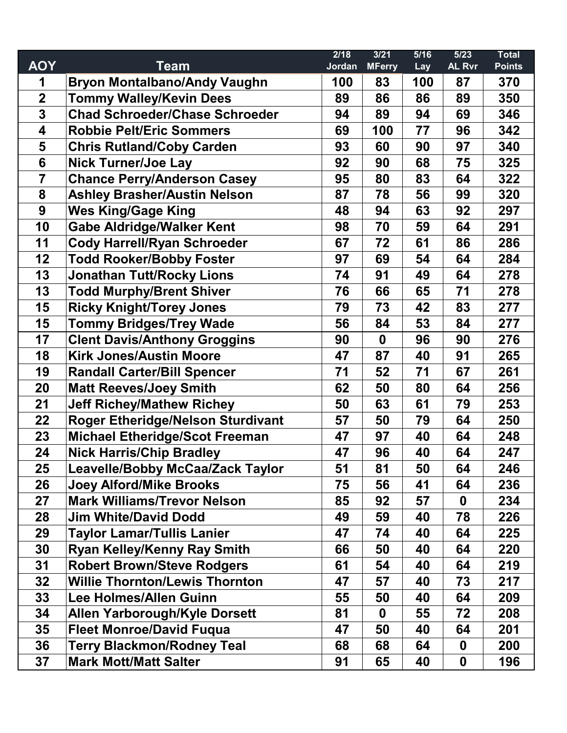|                         |                                          | 2/18   | 3/21          | 5/16 | $\overline{5/23}$ | <b>Total</b>  |
|-------------------------|------------------------------------------|--------|---------------|------|-------------------|---------------|
| <b>AOY</b>              | <b>Team</b>                              | Jordan | <b>MFerry</b> | Lay  | <b>AL Rvr</b>     | <b>Points</b> |
| 1                       | <b>Bryon Montalbano/Andy Vaughn</b>      | 100    | 83            | 100  | 87                | 370           |
| $\overline{2}$          | <b>Tommy Walley/Kevin Dees</b>           | 89     | 86            | 86   | 89                | 350           |
| $\overline{\mathbf{3}}$ | <b>Chad Schroeder/Chase Schroeder</b>    | 94     | 89            | 94   | 69                | 346           |
| $\overline{\mathbf{4}}$ | <b>Robbie Pelt/Eric Sommers</b>          | 69     | 100           | 77   | 96                | 342           |
| 5                       | <b>Chris Rutland/Coby Carden</b>         | 93     | 60            | 90   | 97                | 340           |
| $6\phantom{1}6$         | <b>Nick Turner/Joe Lay</b>               | 92     | 90            | 68   | 75                | 325           |
| $\overline{7}$          | <b>Chance Perry/Anderson Casey</b>       | 95     | 80            | 83   | 64                | 322           |
| 8                       | <b>Ashley Brasher/Austin Nelson</b>      | 87     | 78            | 56   | 99                | 320           |
| 9                       | <b>Wes King/Gage King</b>                | 48     | 94            | 63   | 92                | 297           |
| 10                      | <b>Gabe Aldridge/Walker Kent</b>         | 98     | 70            | 59   | 64                | 291           |
| 11                      | <b>Cody Harrell/Ryan Schroeder</b>       | 67     | 72            | 61   | 86                | 286           |
| 12                      | <b>Todd Rooker/Bobby Foster</b>          | 97     | 69            | 54   | 64                | 284           |
| 13                      | <b>Jonathan Tutt/Rocky Lions</b>         | 74     | 91            | 49   | 64                | 278           |
| 13                      | <b>Todd Murphy/Brent Shiver</b>          | 76     | 66            | 65   | 71                | 278           |
| 15                      | <b>Ricky Knight/Torey Jones</b>          | 79     | 73            | 42   | 83                | 277           |
| 15                      | <b>Tommy Bridges/Trey Wade</b>           | 56     | 84            | 53   | 84                | 277           |
| 17                      | <b>Clent Davis/Anthony Groggins</b>      | 90     | $\mathbf 0$   | 96   | 90                | 276           |
| 18                      | <b>Kirk Jones/Austin Moore</b>           | 47     | 87            | 40   | 91                | 265           |
| 19                      | <b>Randall Carter/Bill Spencer</b>       | 71     | 52            | 71   | 67                | 261           |
| 20                      | <b>Matt Reeves/Joey Smith</b>            | 62     | 50            | 80   | 64                | 256           |
| 21                      | <b>Jeff Richey/Mathew Richey</b>         | 50     | 63            | 61   | 79                | 253           |
| 22                      | <b>Roger Etheridge/Nelson Sturdivant</b> | 57     | 50            | 79   | 64                | 250           |
| 23                      | <b>Michael Etheridge/Scot Freeman</b>    | 47     | 97            | 40   | 64                | 248           |
| 24                      | <b>Nick Harris/Chip Bradley</b>          | 47     | 96            | 40   | 64                | 247           |
| 25                      | <b>Leavelle/Bobby McCaa/Zack Taylor</b>  | 51     | 81            | 50   | 64                | 246           |
| 26                      | <b>Joey Alford/Mike Brooks</b>           | 75     | 56            | 41   | 64                | 236           |
| 27                      | <b>Mark Williams/Trevor Nelson</b>       | 85     | 92            | 57   | 0                 | 234           |
| 28                      | <b>Jim White/David Dodd</b>              | 49     | 59            | 40   | 78                | 226           |
| 29                      | <b>Taylor Lamar/Tullis Lanier</b>        | 47     | 74            | 40   | 64                | 225           |
| 30                      | <b>Ryan Kelley/Kenny Ray Smith</b>       | 66     | 50            | 40   | 64                | 220           |
| 31                      | <b>Robert Brown/Steve Rodgers</b>        | 61     | 54            | 40   | 64                | 219           |
| 32                      | <b>Willie Thornton/Lewis Thornton</b>    | 47     | 57            | 40   | 73                | 217           |
| 33                      | <b>Lee Holmes/Allen Guinn</b>            | 55     | 50            | 40   | 64                | 209           |
| 34                      | <b>Allen Yarborough/Kyle Dorsett</b>     | 81     | $\mathbf 0$   | 55   | 72                | 208           |
| 35                      | <b>Fleet Monroe/David Fuqua</b>          | 47     | 50            | 40   | 64                | 201           |
| 36                      | <b>Terry Blackmon/Rodney Teal</b>        | 68     | 68            | 64   | $\boldsymbol{0}$  | 200           |
| 37                      | <b>Mark Mott/Matt Salter</b>             | 91     | 65            | 40   | 0                 | 196           |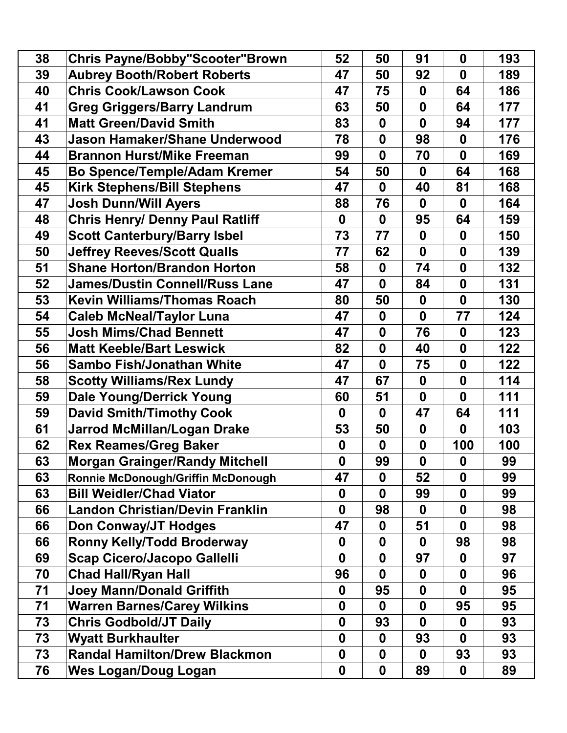| 38 | <b>Chris Payne/Bobby"Scooter"Brown</b> | 52               | 50               | 91               | $\mathbf 0$      | 193 |
|----|----------------------------------------|------------------|------------------|------------------|------------------|-----|
| 39 | <b>Aubrey Booth/Robert Roberts</b>     | 47               | 50               | 92               | $\mathbf 0$      | 189 |
| 40 | <b>Chris Cook/Lawson Cook</b>          | 47               | 75               | $\mathbf 0$      | 64               | 186 |
| 41 | <b>Greg Griggers/Barry Landrum</b>     | 63               | 50               | $\mathbf 0$      | 64               | 177 |
| 41 | <b>Matt Green/David Smith</b>          | 83               | $\boldsymbol{0}$ | $\boldsymbol{0}$ | 94               | 177 |
| 43 | <b>Jason Hamaker/Shane Underwood</b>   | 78               | $\boldsymbol{0}$ | 98               | $\boldsymbol{0}$ | 176 |
| 44 | <b>Brannon Hurst/Mike Freeman</b>      | 99               | $\mathbf 0$      | 70               | $\mathbf 0$      | 169 |
| 45 | <b>Bo Spence/Temple/Adam Kremer</b>    | 54               | 50               | $\mathbf 0$      | 64               | 168 |
| 45 | <b>Kirk Stephens/Bill Stephens</b>     | 47               | $\mathbf 0$      | 40               | 81               | 168 |
| 47 | <b>Josh Dunn/Will Ayers</b>            | 88               | 76               | $\bf{0}$         | $\boldsymbol{0}$ | 164 |
| 48 | <b>Chris Henry/ Denny Paul Ratliff</b> | $\boldsymbol{0}$ | $\mathbf 0$      | 95               | 64               | 159 |
| 49 | <b>Scott Canterbury/Barry Isbel</b>    | 73               | 77               | $\mathbf 0$      | $\boldsymbol{0}$ | 150 |
| 50 | <b>Jeffrey Reeves/Scott Qualls</b>     | 77               | 62               | $\mathbf 0$      | $\boldsymbol{0}$ | 139 |
| 51 | <b>Shane Horton/Brandon Horton</b>     | 58               | $\mathbf 0$      | 74               | $\boldsymbol{0}$ | 132 |
| 52 | <b>James/Dustin Connell/Russ Lane</b>  | 47               | $\mathbf 0$      | 84               | $\boldsymbol{0}$ | 131 |
| 53 | <b>Kevin Williams/Thomas Roach</b>     | 80               | 50               | $\boldsymbol{0}$ | $\mathbf 0$      | 130 |
| 54 | <b>Caleb McNeal/Taylor Luna</b>        | 47               | $\mathbf 0$      | $\boldsymbol{0}$ | 77               | 124 |
| 55 | <b>Josh Mims/Chad Bennett</b>          | 47               | $\boldsymbol{0}$ | 76               | $\boldsymbol{0}$ | 123 |
| 56 | <b>Matt Keeble/Bart Leswick</b>        | 82               | $\boldsymbol{0}$ | 40               | $\boldsymbol{0}$ | 122 |
| 56 | <b>Sambo Fish/Jonathan White</b>       | 47               | $\mathbf 0$      | 75               | $\boldsymbol{0}$ | 122 |
| 58 | <b>Scotty Williams/Rex Lundy</b>       | 47               | 67               | $\mathbf 0$      | $\mathbf 0$      | 114 |
| 59 | <b>Dale Young/Derrick Young</b>        | 60               | 51               | $\mathbf 0$      | $\mathbf 0$      | 111 |
| 59 | <b>David Smith/Timothy Cook</b>        | $\mathbf 0$      | $\mathbf 0$      | 47               | 64               | 111 |
| 61 | <b>Jarrod McMillan/Logan Drake</b>     | 53               | 50               | $\mathbf 0$      | 0                | 103 |
| 62 | <b>Rex Reames/Greg Baker</b>           | $\boldsymbol{0}$ | $\mathbf 0$      | $\boldsymbol{0}$ | 100              | 100 |
| 63 | <b>Morgan Grainger/Randy Mitchell</b>  | $\mathbf{0}$     | 99               | $\mathbf 0$      | $\mathbf 0$      | 99  |
| 63 | Ronnie McDonough/Griffin McDonough     | 47               | $\mathbf 0$      | 52               | $\mathbf 0$      | 99  |
| 63 | <b>Bill Weidler/Chad Viator</b>        | $\boldsymbol{0}$ | $\mathbf 0$      | 99               | 0                | 99  |
| 66 | <b>Landon Christian/Devin Franklin</b> | $\mathbf{0}$     | 98               | $\mathbf 0$      | $\mathbf 0$      | 98  |
| 66 | <b>Don Conway/JT Hodges</b>            | 47               | $\boldsymbol{0}$ | 51               | 0                | 98  |
| 66 | <b>Ronny Kelly/Todd Broderway</b>      | $\boldsymbol{0}$ | $\mathbf 0$      | $\bf{0}$         | 98               | 98  |
| 69 | <b>Scap Cicero/Jacopo Gallelli</b>     | $\bf{0}$         | $\mathbf 0$      | 97               | 0                | 97  |
| 70 | <b>Chad Hall/Ryan Hall</b>             | 96               | $\bf{0}$         | 0                | 0                | 96  |
| 71 | <b>Joey Mann/Donald Griffith</b>       | $\mathbf 0$      | 95               | $\mathbf 0$      | 0                | 95  |
| 71 | <b>Warren Barnes/Carey Wilkins</b>     | 0                | $\mathbf 0$      | $\boldsymbol{0}$ | 95               | 95  |
| 73 | <b>Chris Godbold/JT Daily</b>          | $\boldsymbol{0}$ | 93               | $\mathbf 0$      | $\boldsymbol{0}$ | 93  |
| 73 | <b>Wyatt Burkhaulter</b>               | $\mathbf 0$      | $\bf{0}$         | 93               | 0                | 93  |
| 73 | <b>Randal Hamilton/Drew Blackmon</b>   | $\mathbf 0$      | $\mathbf 0$      | $\mathbf 0$      | 93               | 93  |
| 76 | <b>Wes Logan/Doug Logan</b>            | $\boldsymbol{0}$ | $\boldsymbol{0}$ | 89               | $\boldsymbol{0}$ | 89  |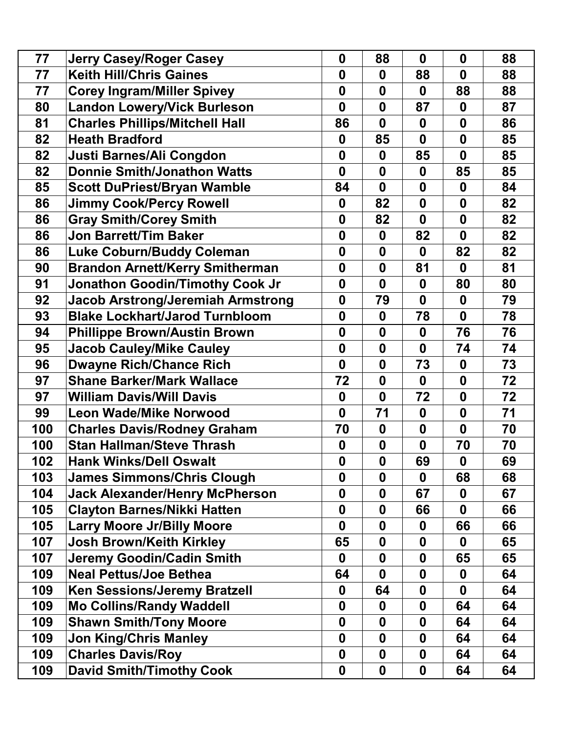| 77  | <b>Jerry Casey/Roger Casey</b>           | $\mathbf 0$      | 88               | $\mathbf 0$      | $\mathbf 0$      | 88 |
|-----|------------------------------------------|------------------|------------------|------------------|------------------|----|
| 77  | <b>Keith Hill/Chris Gaines</b>           | $\bf{0}$         | $\bf{0}$         | 88               | $\boldsymbol{0}$ | 88 |
| 77  | <b>Corey Ingram/Miller Spivey</b>        | $\mathbf 0$      | $\mathbf 0$      | $\mathbf 0$      | 88               | 88 |
| 80  | <b>Landon Lowery/Vick Burleson</b>       | $\mathbf 0$      | $\mathbf 0$      | 87               | $\boldsymbol{0}$ | 87 |
| 81  | <b>Charles Phillips/Mitchell Hall</b>    | 86               | $\mathbf 0$      | $\boldsymbol{0}$ | $\boldsymbol{0}$ | 86 |
| 82  | <b>Heath Bradford</b>                    | $\boldsymbol{0}$ | 85               | $\boldsymbol{0}$ | $\boldsymbol{0}$ | 85 |
| 82  | Justi Barnes/Ali Congdon                 | $\boldsymbol{0}$ | $\boldsymbol{0}$ | 85               | $\mathbf 0$      | 85 |
| 82  | <b>Donnie Smith/Jonathon Watts</b>       | $\bf{0}$         | $\mathbf 0$      | $\mathbf 0$      | 85               | 85 |
| 85  | <b>Scott DuPriest/Bryan Wamble</b>       | 84               | $\mathbf 0$      | $\boldsymbol{0}$ | $\boldsymbol{0}$ | 84 |
| 86  | <b>Jimmy Cook/Percy Rowell</b>           | $\boldsymbol{0}$ | 82               | $\boldsymbol{0}$ | $\boldsymbol{0}$ | 82 |
| 86  | <b>Gray Smith/Corey Smith</b>            | $\mathbf 0$      | 82               | $\boldsymbol{0}$ | $\boldsymbol{0}$ | 82 |
| 86  | <b>Jon Barrett/Tim Baker</b>             | $\bf{0}$         | $\boldsymbol{0}$ | 82               | $\mathbf 0$      | 82 |
| 86  | <b>Luke Coburn/Buddy Coleman</b>         | $\mathbf 0$      | $\mathbf 0$      | $\mathbf 0$      | 82               | 82 |
| 90  | <b>Brandon Arnett/Kerry Smitherman</b>   | $\boldsymbol{0}$ | $\mathbf 0$      | 81               | 0                | 81 |
| 91  | <b>Jonathon Goodin/Timothy Cook Jr</b>   | $\boldsymbol{0}$ | $\mathbf 0$      | $\boldsymbol{0}$ | 80               | 80 |
| 92  | <b>Jacob Arstrong/Jeremiah Armstrong</b> | $\boldsymbol{0}$ | 79               | $\boldsymbol{0}$ | $\boldsymbol{0}$ | 79 |
| 93  | <b>Blake Lockhart/Jarod Turnbloom</b>    | $\boldsymbol{0}$ | $\boldsymbol{0}$ | 78               | $\boldsymbol{0}$ | 78 |
| 94  | <b>Phillippe Brown/Austin Brown</b>      | $\mathbf 0$      | $\mathbf 0$      | $\mathbf 0$      | 76               | 76 |
| 95  | <b>Jacob Cauley/Mike Cauley</b>          | $\boldsymbol{0}$ | $\boldsymbol{0}$ | $\mathbf 0$      | 74               | 74 |
| 96  | <b>Dwayne Rich/Chance Rich</b>           | $\mathbf 0$      | $\mathbf 0$      | 73               | $\boldsymbol{0}$ | 73 |
| 97  | <b>Shane Barker/Mark Wallace</b>         | 72               | $\mathbf 0$      | $\mathbf 0$      | $\boldsymbol{0}$ | 72 |
| 97  | <b>William Davis/Will Davis</b>          | $\boldsymbol{0}$ | $\boldsymbol{0}$ | 72               | $\boldsymbol{0}$ | 72 |
| 99  | <b>Leon Wade/Mike Norwood</b>            | $\mathbf{0}$     | 71               | $\mathbf 0$      | $\boldsymbol{0}$ | 71 |
| 100 | <b>Charles Davis/Rodney Graham</b>       | 70               | $\mathbf 0$      | $\boldsymbol{0}$ | $\boldsymbol{0}$ | 70 |
| 100 | <b>Stan Hallman/Steve Thrash</b>         | $\boldsymbol{0}$ | $\boldsymbol{0}$ | $\boldsymbol{0}$ | 70               | 70 |
| 102 | <b>Hank Winks/Dell Oswalt</b>            | $\boldsymbol{0}$ | $\mathbf 0$      | 69               | $\boldsymbol{0}$ | 69 |
| 103 | <b>James Simmons/Chris Clough</b>        | $\mathbf 0$      | $\mathbf 0$      | $\bf{0}$         | 68               | 68 |
| 104 | <b>Jack Alexander/Henry McPherson</b>    | $\mathbf 0$      | $\mathbf 0$      | 67               | $\boldsymbol{0}$ | 67 |
| 105 | <b>Clayton Barnes/Nikki Hatten</b>       | $\boldsymbol{0}$ | $\boldsymbol{0}$ | 66               | $\mathbf 0$      | 66 |
| 105 | <b>Larry Moore Jr/Billy Moore</b>        | $\boldsymbol{0}$ | $\boldsymbol{0}$ | $\boldsymbol{0}$ | 66               | 66 |
| 107 | <b>Josh Brown/Keith Kirkley</b>          | 65               | $\mathbf 0$      | $\mathbf 0$      | $\boldsymbol{0}$ | 65 |
| 107 | <b>Jeremy Goodin/Cadin Smith</b>         | 0                | $\bf{0}$         | 0                | 65               | 65 |
| 109 | <b>Neal Pettus/Joe Bethea</b>            | 64               | 0                | $\boldsymbol{0}$ | 0                | 64 |
| 109 | <b>Ken Sessions/Jeremy Bratzell</b>      | 0                | 64               | 0                | 0                | 64 |
| 109 | <b>Mo Collins/Randy Waddell</b>          | $\boldsymbol{0}$ | $\bf{0}$         | 0                | 64               | 64 |
| 109 | <b>Shawn Smith/Tony Moore</b>            | $\boldsymbol{0}$ | $\boldsymbol{0}$ | 0                | 64               | 64 |
| 109 | <b>Jon King/Chris Manley</b>             | $\boldsymbol{0}$ | $\mathbf 0$      | 0                | 64               | 64 |
| 109 | <b>Charles Davis/Roy</b>                 | $\boldsymbol{0}$ | $\mathbf 0$      | $\boldsymbol{0}$ | 64               | 64 |
| 109 | <b>David Smith/Timothy Cook</b>          | $\boldsymbol{0}$ | $\boldsymbol{0}$ | $\boldsymbol{0}$ | 64               | 64 |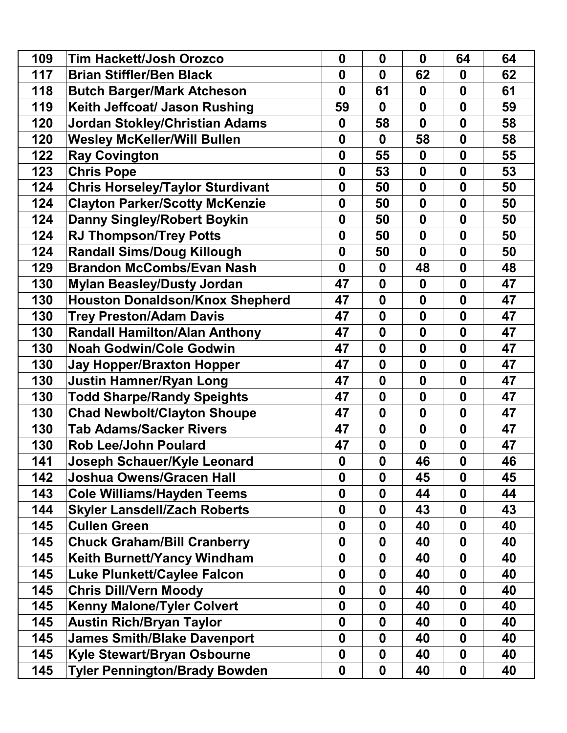| 109 | <b>Tim Hackett/Josh Orozco</b>          | $\boldsymbol{0}$ | $\boldsymbol{0}$ | $\mathbf 0$      | 64               | 64 |
|-----|-----------------------------------------|------------------|------------------|------------------|------------------|----|
| 117 | <b>Brian Stiffler/Ben Black</b>         | $\bf{0}$         | 0                | 62               | 0                | 62 |
| 118 | <b>Butch Barger/Mark Atcheson</b>       | $\mathbf{0}$     | 61               | $\mathbf 0$      | $\boldsymbol{0}$ | 61 |
| 119 | Keith Jeffcoat/ Jason Rushing           | 59               | 0                | $\mathbf 0$      | $\boldsymbol{0}$ | 59 |
| 120 | <b>Jordan Stokley/Christian Adams</b>   | $\boldsymbol{0}$ | 58               | $\mathbf 0$      | $\boldsymbol{0}$ | 58 |
| 120 | <b>Wesley McKeller/Will Bullen</b>      | $\mathbf 0$      | 0                | 58               | $\boldsymbol{0}$ | 58 |
| 122 | <b>Ray Covington</b>                    | $\boldsymbol{0}$ | 55               | $\boldsymbol{0}$ | $\boldsymbol{0}$ | 55 |
| 123 | <b>Chris Pope</b>                       | $\mathbf 0$      | 53               | $\boldsymbol{0}$ | $\mathbf 0$      | 53 |
| 124 | <b>Chris Horseley/Taylor Sturdivant</b> | $\boldsymbol{0}$ | 50               | $\mathbf 0$      | $\boldsymbol{0}$ | 50 |
| 124 | <b>Clayton Parker/Scotty McKenzie</b>   | $\boldsymbol{0}$ | 50               | $\mathbf 0$      | $\mathbf 0$      | 50 |
| 124 | <b>Danny Singley/Robert Boykin</b>      | $\boldsymbol{0}$ | 50               | $\boldsymbol{0}$ | $\boldsymbol{0}$ | 50 |
| 124 | <b>RJ Thompson/Trey Potts</b>           | $\bf{0}$         | 50               | $\boldsymbol{0}$ | $\boldsymbol{0}$ | 50 |
| 124 | <b>Randall Sims/Doug Killough</b>       | $\boldsymbol{0}$ | 50               | $\mathbf{0}$     | $\boldsymbol{0}$ | 50 |
| 129 | <b>Brandon McCombs/Evan Nash</b>        | $\boldsymbol{0}$ | 0                | 48               | $\boldsymbol{0}$ | 48 |
| 130 | <b>Mylan Beasley/Dusty Jordan</b>       | 47               | $\mathbf{0}$     | $\mathbf 0$      | $\boldsymbol{0}$ | 47 |
| 130 | <b>Houston Donaldson/Knox Shepherd</b>  | 47               | $\boldsymbol{0}$ | $\boldsymbol{0}$ | $\boldsymbol{0}$ | 47 |
| 130 | <b>Trey Preston/Adam Davis</b>          | 47               | $\boldsymbol{0}$ | $\boldsymbol{0}$ | $\boldsymbol{0}$ | 47 |
| 130 | <b>Randall Hamilton/Alan Anthony</b>    | 47               | $\mathbf{0}$     | $\boldsymbol{0}$ | $\mathbf 0$      | 47 |
| 130 | <b>Noah Godwin/Cole Godwin</b>          | 47               | $\boldsymbol{0}$ | $\boldsymbol{0}$ | $\boldsymbol{0}$ | 47 |
| 130 | <b>Jay Hopper/Braxton Hopper</b>        | 47               | $\boldsymbol{0}$ | $\boldsymbol{0}$ | $\boldsymbol{0}$ | 47 |
| 130 | <b>Justin Hamner/Ryan Long</b>          | 47               | $\mathbf{0}$     | $\boldsymbol{0}$ | $\boldsymbol{0}$ | 47 |
| 130 | <b>Todd Sharpe/Randy Speights</b>       | 47               | 0                | $\boldsymbol{0}$ | $\boldsymbol{0}$ | 47 |
| 130 | <b>Chad Newbolt/Clayton Shoupe</b>      | 47               | $\mathbf{0}$     | $\mathbf 0$      | $\mathbf 0$      | 47 |
| 130 | <b>Tab Adams/Sacker Rivers</b>          | 47               | $\mathbf{0}$     | $\boldsymbol{0}$ | $\boldsymbol{0}$ | 47 |
| 130 | <b>Rob Lee/John Poulard</b>             | 47               | $\boldsymbol{0}$ | $\boldsymbol{0}$ | $\boldsymbol{0}$ | 47 |
| 141 | Joseph Schauer/Kyle Leonard             | 0                | $\mathbf 0$      | 46               | $\boldsymbol{0}$ | 46 |
| 142 | <b>Joshua Owens/Gracen Hall</b>         | $\bf{0}$         | 0                | 45               | $\boldsymbol{0}$ | 45 |
| 143 | <b>Cole Williams/Hayden Teems</b>       | $\mathbf{0}$     | $\mathbf{0}$     | 44               | $\boldsymbol{0}$ | 44 |
| 144 | <b>Skyler Lansdell/Zach Roberts</b>     | $\boldsymbol{0}$ | 0                | 43               | $\boldsymbol{0}$ | 43 |
| 145 | <b>Cullen Green</b>                     | $\boldsymbol{0}$ | $\boldsymbol{0}$ | 40               | $\boldsymbol{0}$ | 40 |
| 145 | <b>Chuck Graham/Bill Cranberry</b>      | 0                | 0                | 40               | $\boldsymbol{0}$ | 40 |
| 145 | <b>Keith Burnett/Yancy Windham</b>      | $\boldsymbol{0}$ | 0                | 40               | $\boldsymbol{0}$ | 40 |
| 145 | <b>Luke Plunkett/Caylee Falcon</b>      | $\mathbf{0}$     | 0                | 40               | $\boldsymbol{0}$ | 40 |
| 145 | <b>Chris Dill/Vern Moody</b>            | $\boldsymbol{0}$ | 0                | 40               | $\boldsymbol{0}$ | 40 |
| 145 | <b>Kenny Malone/Tyler Colvert</b>       | $\boldsymbol{0}$ | 0                | 40               | $\boldsymbol{0}$ | 40 |
| 145 | <b>Austin Rich/Bryan Taylor</b>         | $\boldsymbol{0}$ | 0                | 40               | $\boldsymbol{0}$ | 40 |
| 145 | <b>James Smith/Blake Davenport</b>      | $\boldsymbol{0}$ | 0                | 40               | 0                | 40 |
| 145 | <b>Kyle Stewart/Bryan Osbourne</b>      | $\boldsymbol{0}$ | 0                | 40               | $\boldsymbol{0}$ | 40 |
| 145 | <b>Tyler Pennington/Brady Bowden</b>    | $\boldsymbol{0}$ | $\boldsymbol{0}$ | 40               | $\boldsymbol{0}$ | 40 |